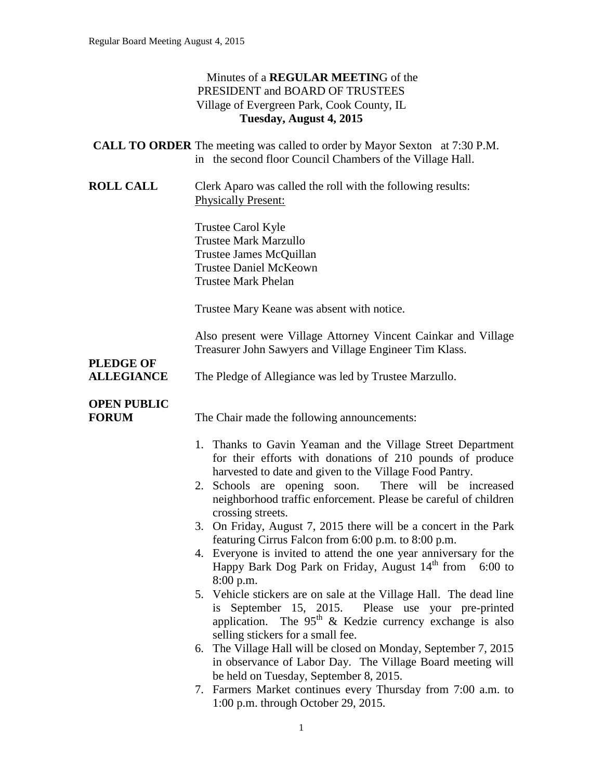#### Minutes of a **REGULAR MEETIN**G of the PRESIDENT and BOARD OF TRUSTEES Village of Evergreen Park, Cook County, IL **Tuesday, August 4, 2015**

|                                                           |  | <b>CALL TO ORDER</b> The meeting was called to order by Mayor Sexton at 7:30 P.M. |  |
|-----------------------------------------------------------|--|-----------------------------------------------------------------------------------|--|
| in the second floor Council Chambers of the Village Hall. |  |                                                                                   |  |

**ROLL CALL** Clerk Aparo was called the roll with the following results: Physically Present:

> Trustee Carol Kyle Trustee Mark Marzullo Trustee James McQuillan Trustee Daniel McKeown Trustee Mark Phelan

Trustee Mary Keane was absent with notice.

Also present were Village Attorney Vincent Cainkar and Village Treasurer John Sawyers and Village Engineer Tim Klass.

# **PLEDGE OF**

**ALLEGIANCE** The Pledge of Allegiance was led by Trustee Marzullo.

# **OPEN PUBLIC**

**FORUM** The Chair made the following announcements:

- 1. Thanks to Gavin Yeaman and the Village Street Department for their efforts with donations of 210 pounds of produce harvested to date and given to the Village Food Pantry.
- 2. Schools are opening soon. There will be increased neighborhood traffic enforcement. Please be careful of children crossing streets.
- 3. On Friday, August 7, 2015 there will be a concert in the Park featuring Cirrus Falcon from 6:00 p.m. to 8:00 p.m.
- 4. Everyone is invited to attend the one year anniversary for the Happy Bark Dog Park on Friday, August  $14<sup>th</sup>$  from 6:00 to 8:00 p.m.
- 5. Vehicle stickers are on sale at the Village Hall. The dead line is September 15, 2015. Please use your pre-printed application. The  $95<sup>th</sup>$  & Kedzie currency exchange is also selling stickers for a small fee.
- 6. The Village Hall will be closed on Monday, September 7, 2015 in observance of Labor Day. The Village Board meeting will be held on Tuesday, September 8, 2015.
- 7. Farmers Market continues every Thursday from 7:00 a.m. to 1:00 p.m. through October 29, 2015.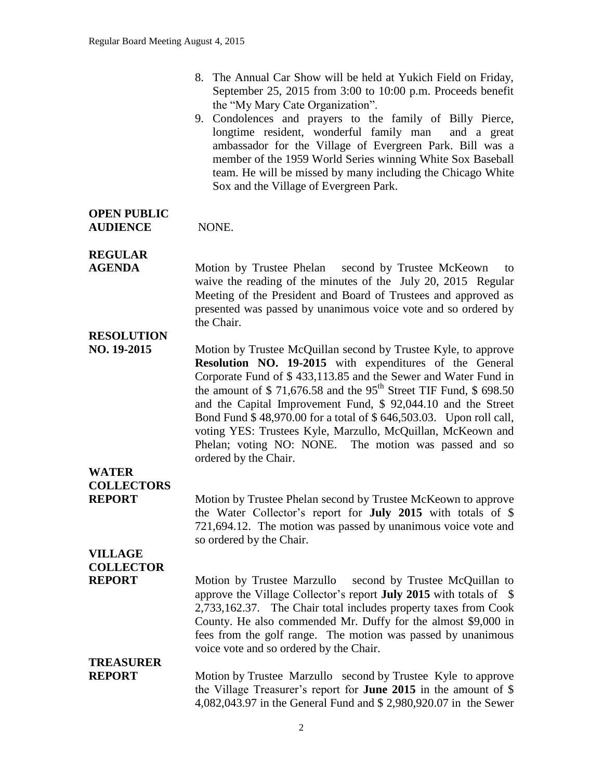- 8. The Annual Car Show will be held at Yukich Field on Friday, September 25, 2015 from 3:00 to 10:00 p.m. Proceeds benefit the "My Mary Cate Organization".
- 9. Condolences and prayers to the family of Billy Pierce, longtime resident, wonderful family man and a great ambassador for the Village of Evergreen Park. Bill was a member of the 1959 World Series winning White Sox Baseball team. He will be missed by many including the Chicago White Sox and the Village of Evergreen Park.

#### **OPEN PUBLIC AUDIENCE** NONE.

# **REGULAR**

**AGENDA** Motion by Trustee Phelan second by Trustee McKeown to waive the reading of the minutes of the July 20, 2015 Regular Meeting of the President and Board of Trustees and approved as presented was passed by unanimous voice vote and so ordered by the Chair.

### **RESOLUTION**

**NO. 19-2015** Motion by Trustee McQuillan second by Trustee Kyle, to approve **Resolution NO. 19-2015** with expenditures of the General Corporate Fund of \$ 433,113.85 and the Sewer and Water Fund in the amount of  $$71,676.58$  and the 95<sup>th</sup> Street TIF Fund,  $$698.50$ and the Capital Improvement Fund, \$ 92,044.10 and the Street Bond Fund \$ 48,970.00 for a total of \$ 646,503.03. Upon roll call, voting YES: Trustees Kyle, Marzullo, McQuillan, McKeown and Phelan; voting NO: NONE. The motion was passed and so ordered by the Chair.

## **WATER COLLECTORS**

**REPORT** Motion by Trustee Phelan second by Trustee McKeown to approve the Water Collector's report for **July 2015** with totals of \$ 721,694.12. The motion was passed by unanimous voice vote and so ordered by the Chair.

### **VILLAGE COLLECTOR**

**REPORT** Motion by Trustee Marzullo second by Trustee McQuillan to approve the Village Collector's report **July 2015** with totals of \$ 2,733,162.37. The Chair total includes property taxes from Cook County. He also commended Mr. Duffy for the almost \$9,000 in fees from the golf range. The motion was passed by unanimous voice vote and so ordered by the Chair.

# **TREASURER**

**REPORT** Motion by Trustee Marzullo second by Trustee Kyle to approve the Village Treasurer's report for **June 2015** in the amount of \$ 4,082,043.97 in the General Fund and \$ 2,980,920.07 in the Sewer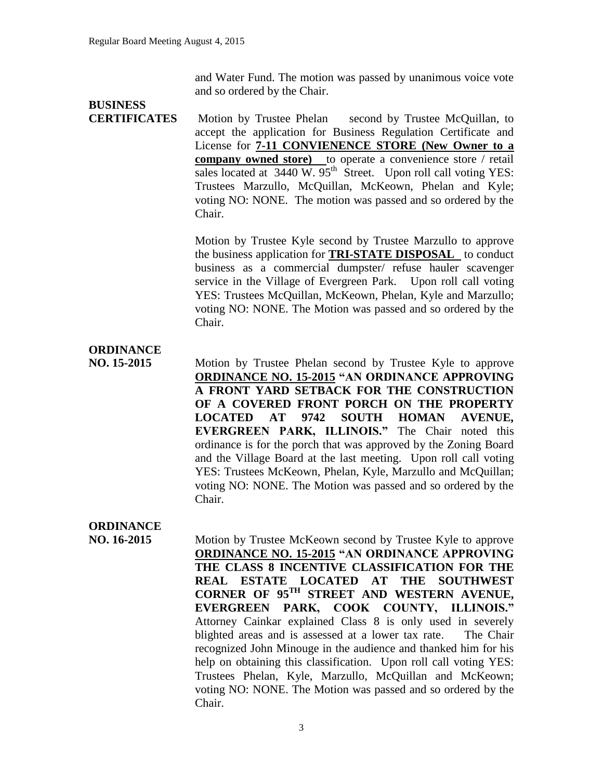and Water Fund. The motion was passed by unanimous voice vote and so ordered by the Chair.

# **BUSINESS**

**CERTIFICATES** Motion by Trustee Phelan second by Trustee McQuillan, to accept the application for Business Regulation Certificate and License for **7-11 CONVIENENCE STORE (New Owner to a company owned store)** to operate a convenience store / retail sales located at  $3440 \text{ W}$ .  $95^{\text{th}}$  Street. Upon roll call voting YES: Trustees Marzullo, McQuillan, McKeown, Phelan and Kyle; voting NO: NONE. The motion was passed and so ordered by the Chair.

> Motion by Trustee Kyle second by Trustee Marzullo to approve the business application for **TRI-STATE DISPOSAL** to conduct business as a commercial dumpster/ refuse hauler scavenger service in the Village of Evergreen Park. Upon roll call voting YES: Trustees McQuillan, McKeown, Phelan, Kyle and Marzullo; voting NO: NONE. The Motion was passed and so ordered by the Chair.

#### **ORDINANCE**

**NO. 15-2015** Motion by Trustee Phelan second by Trustee Kyle to approve **ORDINANCE NO. 15-2015 "AN ORDINANCE APPROVING A FRONT YARD SETBACK FOR THE CONSTRUCTION OF A COVERED FRONT PORCH ON THE PROPERTY LOCATED AT 9742 SOUTH HOMAN AVENUE, EVERGREEN PARK, ILLINOIS."** The Chair noted this ordinance is for the porch that was approved by the Zoning Board and the Village Board at the last meeting. Upon roll call voting YES: Trustees McKeown, Phelan, Kyle, Marzullo and McQuillan; voting NO: NONE. The Motion was passed and so ordered by the Chair.

### **ORDINANCE**

**NO. 16-2015** Motion by Trustee McKeown second by Trustee Kyle to approve **ORDINANCE NO. 15-2015 "AN ORDINANCE APPROVING THE CLASS 8 INCENTIVE CLASSIFICATION FOR THE REAL ESTATE LOCATED AT THE SOUTHWEST CORNER OF 95TH STREET AND WESTERN AVENUE, EVERGREEN PARK, COOK COUNTY, ILLINOIS."**  Attorney Cainkar explained Class 8 is only used in severely blighted areas and is assessed at a lower tax rate. The Chair recognized John Minouge in the audience and thanked him for his help on obtaining this classification. Upon roll call voting YES: Trustees Phelan, Kyle, Marzullo, McQuillan and McKeown; voting NO: NONE. The Motion was passed and so ordered by the Chair.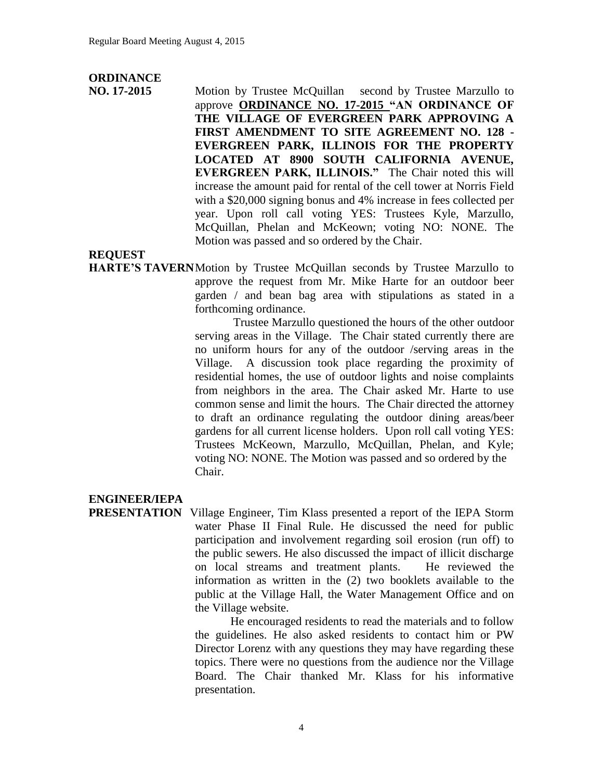### **ORDINANCE**

**NO. 17-2015** Motion by Trustee McQuillan second by Trustee Marzullo to approve **ORDINANCE NO. 17-2015 "AN ORDINANCE OF THE VILLAGE OF EVERGREEN PARK APPROVING A FIRST AMENDMENT TO SITE AGREEMENT NO. 128 - EVERGREEN PARK, ILLINOIS FOR THE PROPERTY LOCATED AT 8900 SOUTH CALIFORNIA AVENUE, EVERGREEN PARK, ILLINOIS."** The Chair noted this will increase the amount paid for rental of the cell tower at Norris Field with a \$20,000 signing bonus and 4% increase in fees collected per year. Upon roll call voting YES: Trustees Kyle, Marzullo, McQuillan, Phelan and McKeown; voting NO: NONE. The Motion was passed and so ordered by the Chair.

#### **REQUEST**

**HARTE'S TAVERN**Motion by Trustee McQuillan seconds by Trustee Marzullo to approve the request from Mr. Mike Harte for an outdoor beer garden / and bean bag area with stipulations as stated in a forthcoming ordinance.

> Trustee Marzullo questioned the hours of the other outdoor serving areas in the Village. The Chair stated currently there are no uniform hours for any of the outdoor /serving areas in the Village. A discussion took place regarding the proximity of residential homes, the use of outdoor lights and noise complaints from neighbors in the area. The Chair asked Mr. Harte to use common sense and limit the hours. The Chair directed the attorney to draft an ordinance regulating the outdoor dining areas/beer gardens for all current license holders. Upon roll call voting YES: Trustees McKeown, Marzullo, McQuillan, Phelan, and Kyle; voting NO: NONE. The Motion was passed and so ordered by the Chair.

#### **ENGINEER/IEPA**

**PRESENTATION** Village Engineer, Tim Klass presented a report of the IEPA Storm water Phase II Final Rule. He discussed the need for public participation and involvement regarding soil erosion (run off) to the public sewers. He also discussed the impact of illicit discharge on local streams and treatment plants. He reviewed the information as written in the (2) two booklets available to the public at the Village Hall, the Water Management Office and on the Village website.

> He encouraged residents to read the materials and to follow the guidelines. He also asked residents to contact him or PW Director Lorenz with any questions they may have regarding these topics. There were no questions from the audience nor the Village Board. The Chair thanked Mr. Klass for his informative presentation.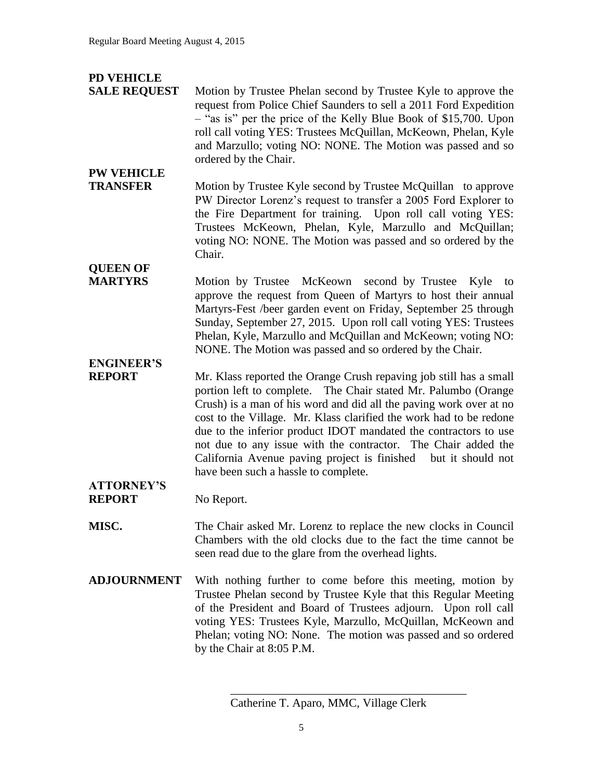### **PD VEHICLE**

**PW VEHICLE** 

- **SALE REQUEST** Motion by Trustee Phelan second by Trustee Kyle to approve the request from Police Chief Saunders to sell a 2011 Ford Expedition – "as is" per the price of the Kelly Blue Book of \$15,700. Upon roll call voting YES: Trustees McQuillan, McKeown, Phelan, Kyle and Marzullo; voting NO: NONE. The Motion was passed and so ordered by the Chair.
- **TRANSFER** Motion by Trustee Kyle second by Trustee McQuillan to approve PW Director Lorenz's request to transfer a 2005 Ford Explorer to the Fire Department for training. Upon roll call voting YES: Trustees McKeown, Phelan, Kyle, Marzullo and McQuillan; voting NO: NONE. The Motion was passed and so ordered by the Chair.
- **QUEEN OF MARTYRS** Motion by Trustee McKeown second by Trustee Kyle to approve the request from Queen of Martyrs to host their annual Martyrs-Fest /beer garden event on Friday, September 25 through Sunday, September 27, 2015. Upon roll call voting YES: Trustees Phelan, Kyle, Marzullo and McQuillan and McKeown; voting NO: NONE. The Motion was passed and so ordered by the Chair.

# **ENGINEER'S**

**REPORT** Mr. Klass reported the Orange Crush repaving job still has a small portion left to complete. The Chair stated Mr. Palumbo (Orange Crush) is a man of his word and did all the paving work over at no cost to the Village. Mr. Klass clarified the work had to be redone due to the inferior product IDOT mandated the contractors to use not due to any issue with the contractor. The Chair added the California Avenue paving project is finished but it should not have been such a hassle to complete.

#### **ATTORNEY'S REPORT** No Report.

- **MISC.** The Chair asked Mr. Lorenz to replace the new clocks in Council Chambers with the old clocks due to the fact the time cannot be seen read due to the glare from the overhead lights.
- **ADJOURNMENT** With nothing further to come before this meeting, motion by Trustee Phelan second by Trustee Kyle that this Regular Meeting of the President and Board of Trustees adjourn. Upon roll call voting YES: Trustees Kyle, Marzullo, McQuillan, McKeown and Phelan; voting NO: None. The motion was passed and so ordered by the Chair at 8:05 P.M.

\_\_\_\_\_\_\_\_\_\_\_\_\_\_\_\_\_\_\_\_\_\_\_\_\_\_\_\_\_\_\_\_\_\_\_\_\_\_\_\_